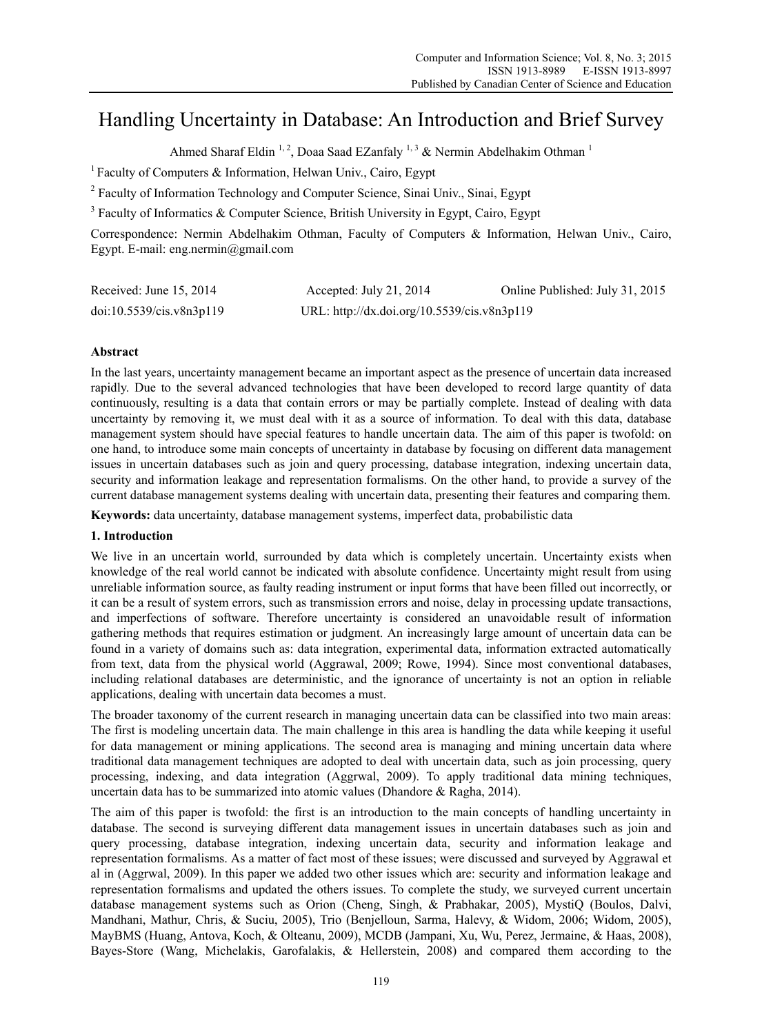# Handling Uncertainty in Database: An Introduction and Brief Survey

Ahmed Sharaf Eldin<sup>1, 2</sup>, Doaa Saad EZanfaly<sup>1, 3</sup> & Nermin Abdelhakim Othman<sup>1</sup>

<sup>1</sup> Faculty of Computers & Information, Helwan Univ., Cairo, Egypt

<sup>2</sup> Faculty of Information Technology and Computer Science, Sinai Univ., Sinai, Egypt

<sup>3</sup> Faculty of Informatics & Computer Science, British University in Egypt, Cairo, Egypt

Correspondence: Nermin Abdelhakim Othman, Faculty of Computers & Information, Helwan Univ., Cairo, Egypt. E-mail: eng.nermin@gmail.com

| Received: June 15, 2014  | Accepted: July 21, 2014                     | Online Published: July 31, 2015 |
|--------------------------|---------------------------------------------|---------------------------------|
| doi:10.5539/cis.v8n3p119 | URL: http://dx.doi.org/10.5539/cis.v8n3p119 |                                 |

# **Abstract**

In the last years, uncertainty management became an important aspect as the presence of uncertain data increased rapidly. Due to the several advanced technologies that have been developed to record large quantity of data continuously, resulting is a data that contain errors or may be partially complete. Instead of dealing with data uncertainty by removing it, we must deal with it as a source of information. To deal with this data, database management system should have special features to handle uncertain data. The aim of this paper is twofold: on one hand, to introduce some main concepts of uncertainty in database by focusing on different data management issues in uncertain databases such as join and query processing, database integration, indexing uncertain data, security and information leakage and representation formalisms. On the other hand, to provide a survey of the current database management systems dealing with uncertain data, presenting their features and comparing them.

**Keywords:** data uncertainty, database management systems, imperfect data, probabilistic data

### **1. Introduction**

We live in an uncertain world, surrounded by data which is completely uncertain. Uncertainty exists when knowledge of the real world cannot be indicated with absolute confidence. Uncertainty might result from using unreliable information source, as faulty reading instrument or input forms that have been filled out incorrectly, or it can be a result of system errors, such as transmission errors and noise, delay in processing update transactions, and imperfections of software. Therefore uncertainty is considered an unavoidable result of information gathering methods that requires estimation or judgment. An increasingly large amount of uncertain data can be found in a variety of domains such as: data integration, experimental data, information extracted automatically from text, data from the physical world (Aggrawal, 2009; Rowe, 1994). Since most conventional databases, including relational databases are deterministic, and the ignorance of uncertainty is not an option in reliable applications, dealing with uncertain data becomes a must.

The broader taxonomy of the current research in managing uncertain data can be classified into two main areas: The first is modeling uncertain data. The main challenge in this area is handling the data while keeping it useful for data management or mining applications. The second area is managing and mining uncertain data where traditional data management techniques are adopted to deal with uncertain data, such as join processing, query processing, indexing, and data integration (Aggrwal, 2009). To apply traditional data mining techniques, uncertain data has to be summarized into atomic values (Dhandore & Ragha, 2014).

The aim of this paper is twofold: the first is an introduction to the main concepts of handling uncertainty in database. The second is surveying different data management issues in uncertain databases such as join and query processing, database integration, indexing uncertain data, security and information leakage and representation formalisms. As a matter of fact most of these issues; were discussed and surveyed by Aggrawal et al in (Aggrwal, 2009). In this paper we added two other issues which are: security and information leakage and representation formalisms and updated the others issues. To complete the study, we surveyed current uncertain database management systems such as Orion (Cheng, Singh, & Prabhakar, 2005), MystiQ (Boulos, Dalvi, Mandhani, Mathur, Chris, & Suciu, 2005), Trio (Benjelloun, Sarma, Halevy, & Widom, 2006; Widom, 2005), MayBMS (Huang, Antova, Koch, & Olteanu, 2009), MCDB (Jampani, Xu, Wu, Perez, Jermaine, & Haas, 2008), Bayes-Store (Wang, Michelakis, Garofalakis, & Hellerstein, 2008) and compared them according to the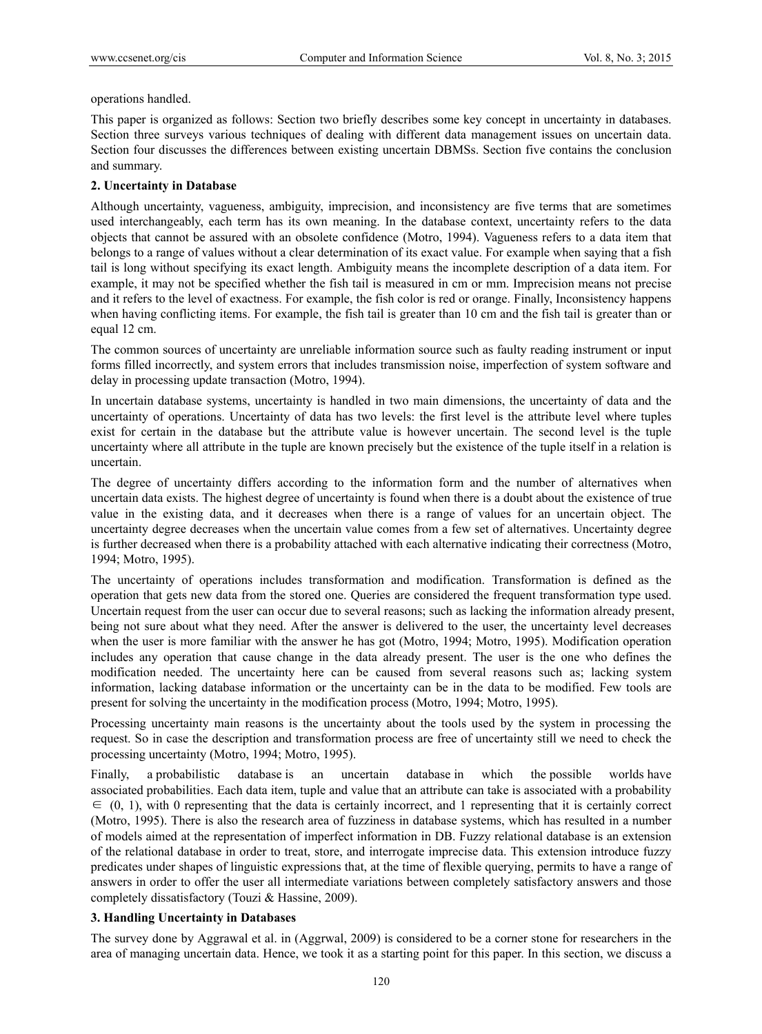operations handled.

This paper is organized as follows: Section two briefly describes some key concept in uncertainty in databases. Section three surveys various techniques of dealing with different data management issues on uncertain data. Section four discusses the differences between existing uncertain DBMSs. Section five contains the conclusion and summary.

#### **2. Uncertainty in Database**

Although uncertainty, vagueness, ambiguity, imprecision, and inconsistency are five terms that are sometimes used interchangeably, each term has its own meaning. In the database context, uncertainty refers to the data objects that cannot be assured with an obsolete confidence (Motro, 1994). Vagueness refers to a data item that belongs to a range of values without a clear determination of its exact value. For example when saying that a fish tail is long without specifying its exact length. Ambiguity means the incomplete description of a data item. For example, it may not be specified whether the fish tail is measured in cm or mm. Imprecision means not precise and it refers to the level of exactness. For example, the fish color is red or orange. Finally, Inconsistency happens when having conflicting items. For example, the fish tail is greater than 10 cm and the fish tail is greater than or equal 12 cm.

The common sources of uncertainty are unreliable information source such as faulty reading instrument or input forms filled incorrectly, and system errors that includes transmission noise, imperfection of system software and delay in processing update transaction (Motro, 1994).

In uncertain database systems, uncertainty is handled in two main dimensions, the uncertainty of data and the uncertainty of operations. Uncertainty of data has two levels: the first level is the attribute level where tuples exist for certain in the database but the attribute value is however uncertain. The second level is the tuple uncertainty where all attribute in the tuple are known precisely but the existence of the tuple itself in a relation is uncertain.

The degree of uncertainty differs according to the information form and the number of alternatives when uncertain data exists. The highest degree of uncertainty is found when there is a doubt about the existence of true value in the existing data, and it decreases when there is a range of values for an uncertain object. The uncertainty degree decreases when the uncertain value comes from a few set of alternatives. Uncertainty degree is further decreased when there is a probability attached with each alternative indicating their correctness (Motro, 1994; Motro, 1995).

The uncertainty of operations includes transformation and modification. Transformation is defined as the operation that gets new data from the stored one. Queries are considered the frequent transformation type used. Uncertain request from the user can occur due to several reasons; such as lacking the information already present, being not sure about what they need. After the answer is delivered to the user, the uncertainty level decreases when the user is more familiar with the answer he has got (Motro, 1994; Motro, 1995). Modification operation includes any operation that cause change in the data already present. The user is the one who defines the modification needed. The uncertainty here can be caused from several reasons such as; lacking system information, lacking database information or the uncertainty can be in the data to be modified. Few tools are present for solving the uncertainty in the modification process (Motro, 1994; Motro, 1995).

Processing uncertainty main reasons is the uncertainty about the tools used by the system in processing the request. So in case the description and transformation process are free of uncertainty still we need to check the processing uncertainty (Motro, 1994; Motro, 1995).

Finally, a probabilistic database is an uncertain database in which the possible worlds have associated probabilities. Each data item, tuple and value that an attribute can take is associated with a probability  $\in$  (0, 1), with 0 representing that the data is certainly incorrect, and 1 representing that it is certainly correct (Motro, 1995). There is also the research area of fuzziness in database systems, which has resulted in a number of models aimed at the representation of imperfect information in DB. Fuzzy relational database is an extension of the relational database in order to treat, store, and interrogate imprecise data. This extension introduce fuzzy predicates under shapes of linguistic expressions that, at the time of flexible querying, permits to have a range of answers in order to offer the user all intermediate variations between completely satisfactory answers and those completely dissatisfactory (Touzi & Hassine, 2009).

### **3. Handling Uncertainty in Databases**

The survey done by Aggrawal et al. in (Aggrwal, 2009) is considered to be a corner stone for researchers in the area of managing uncertain data. Hence, we took it as a starting point for this paper. In this section, we discuss a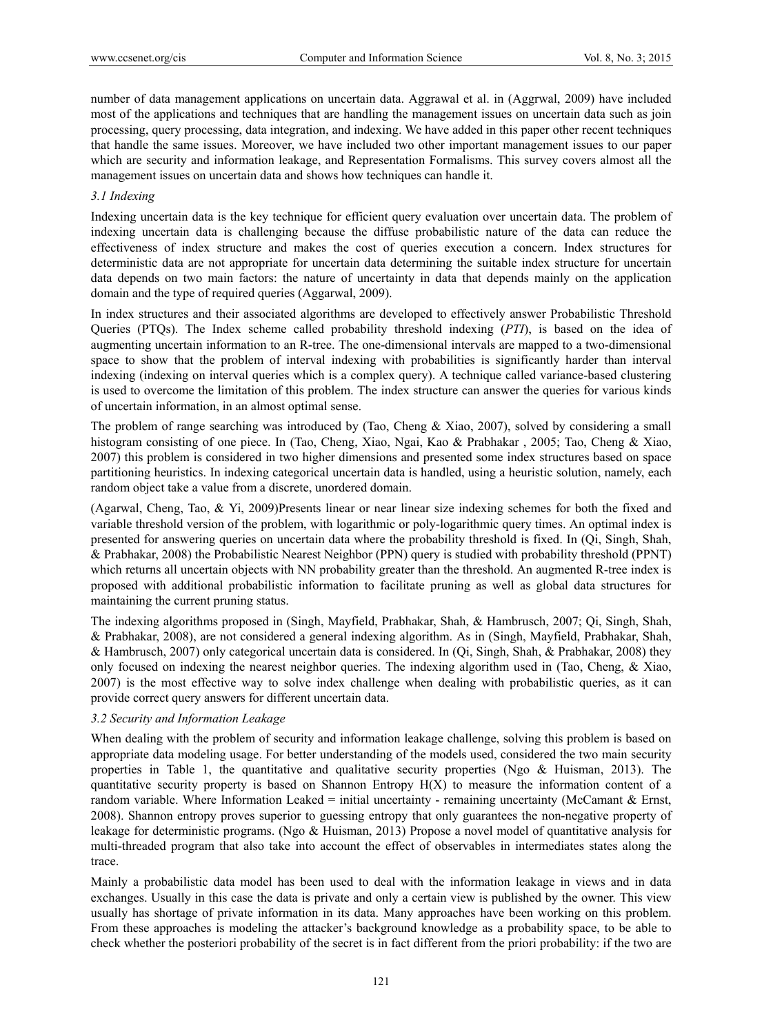number of data management applications on uncertain data. Aggrawal et al. in (Aggrwal, 2009) have included most of the applications and techniques that are handling the management issues on uncertain data such as join processing, query processing, data integration, and indexing. We have added in this paper other recent techniques that handle the same issues. Moreover, we have included two other important management issues to our paper which are security and information leakage, and Representation Formalisms. This survey covers almost all the management issues on uncertain data and shows how techniques can handle it.

## *3.1 Indexing*

Indexing uncertain data is the key technique for efficient query evaluation over uncertain data. The problem of indexing uncertain data is challenging because the diffuse probabilistic nature of the data can reduce the effectiveness of index structure and makes the cost of queries execution a concern. Index structures for deterministic data are not appropriate for uncertain data determining the suitable index structure for uncertain data depends on two main factors: the nature of uncertainty in data that depends mainly on the application domain and the type of required queries (Aggarwal, 2009).

In index structures and their associated algorithms are developed to effectively answer Probabilistic Threshold Queries (PTQs). The Index scheme called probability threshold indexing (*PTI*), is based on the idea of augmenting uncertain information to an R-tree. The one-dimensional intervals are mapped to a two-dimensional space to show that the problem of interval indexing with probabilities is significantly harder than interval indexing (indexing on interval queries which is a complex query). A technique called variance-based clustering is used to overcome the limitation of this problem. The index structure can answer the queries for various kinds of uncertain information, in an almost optimal sense.

The problem of range searching was introduced by (Tao, Cheng & Xiao, 2007), solved by considering a small histogram consisting of one piece. In (Tao, Cheng, Xiao, Ngai, Kao & Prabhakar , 2005; Tao, Cheng & Xiao, 2007) this problem is considered in two higher dimensions and presented some index structures based on space partitioning heuristics. In indexing categorical uncertain data is handled, using a heuristic solution, namely, each random object take a value from a discrete, unordered domain.

(Agarwal, Cheng, Tao, & Yi, 2009)Presents linear or near linear size indexing schemes for both the fixed and variable threshold version of the problem, with logarithmic or poly-logarithmic query times. An optimal index is presented for answering queries on uncertain data where the probability threshold is fixed. In (Qi, Singh, Shah, & Prabhakar, 2008) the Probabilistic Nearest Neighbor (PPN) query is studied with probability threshold (PPNT) which returns all uncertain objects with NN probability greater than the threshold. An augmented R-tree index is proposed with additional probabilistic information to facilitate pruning as well as global data structures for maintaining the current pruning status.

The indexing algorithms proposed in (Singh, Mayfield, Prabhakar, Shah, & Hambrusch, 2007; Qi, Singh, Shah, & Prabhakar, 2008), are not considered a general indexing algorithm. As in (Singh, Mayfield, Prabhakar, Shah, & Hambrusch, 2007) only categorical uncertain data is considered. In (Qi, Singh, Shah, & Prabhakar, 2008) they only focused on indexing the nearest neighbor queries. The indexing algorithm used in (Tao, Cheng, & Xiao, 2007) is the most effective way to solve index challenge when dealing with probabilistic queries, as it can provide correct query answers for different uncertain data.

## *3.2 Security and Information Leakage*

When dealing with the problem of security and information leakage challenge, solving this problem is based on appropriate data modeling usage. For better understanding of the models used, considered the two main security properties in Table 1, the quantitative and qualitative security properties (Ngo & Huisman, 2013). The quantitative security property is based on Shannon Entropy  $H(X)$  to measure the information content of a random variable. Where Information Leaked = initial uncertainty - remaining uncertainty (McCamant  $\&$  Ernst, 2008). Shannon entropy proves superior to guessing entropy that only guarantees the non-negative property of leakage for deterministic programs. (Ngo & Huisman, 2013) Propose a novel model of quantitative analysis for multi-threaded program that also take into account the effect of observables in intermediates states along the trace.

Mainly a probabilistic data model has been used to deal with the information leakage in views and in data exchanges. Usually in this case the data is private and only a certain view is published by the owner. This view usually has shortage of private information in its data. Many approaches have been working on this problem. From these approaches is modeling the attacker's background knowledge as a probability space, to be able to check whether the posteriori probability of the secret is in fact different from the priori probability: if the two are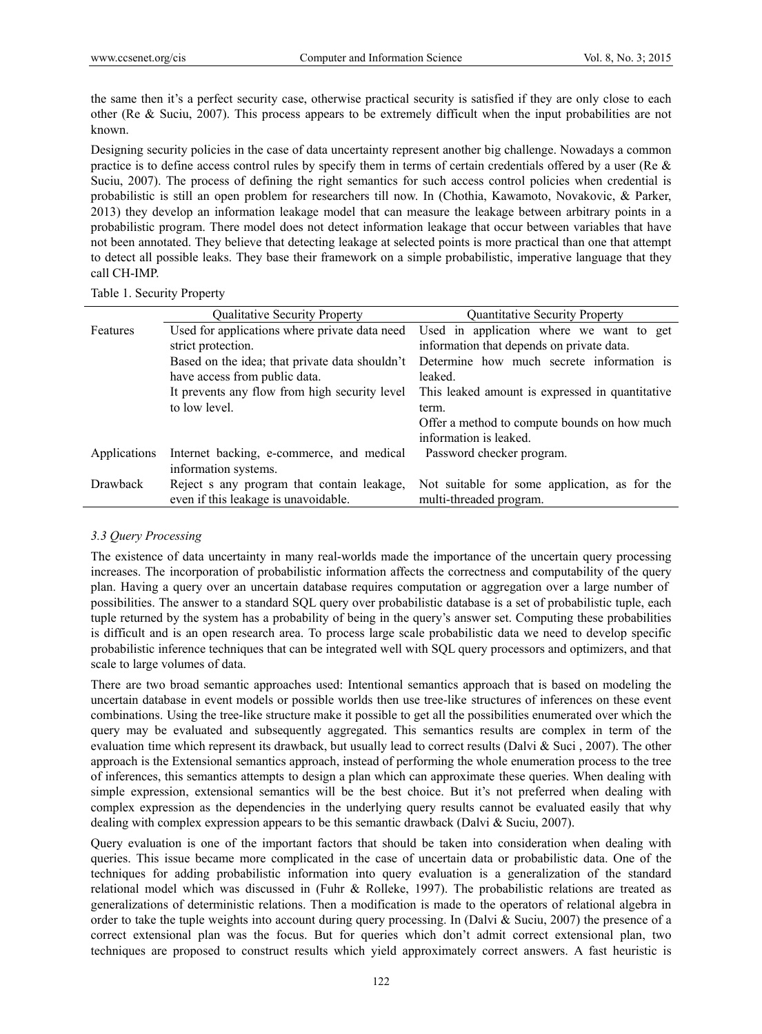the same then it's a perfect security case, otherwise practical security is satisfied if they are only close to each other (Re & Suciu, 2007). This process appears to be extremely difficult when the input probabilities are not known.

Designing security policies in the case of data uncertainty represent another big challenge. Nowadays a common practice is to define access control rules by specify them in terms of certain credentials offered by a user (Re & Suciu, 2007). The process of defining the right semantics for such access control policies when credential is probabilistic is still an open problem for researchers till now. In (Chothia, Kawamoto, Novakovic, & Parker, 2013) they develop an information leakage model that can measure the leakage between arbitrary points in a probabilistic program. There model does not detect information leakage that occur between variables that have not been annotated. They believe that detecting leakage at selected points is more practical than one that attempt to detect all possible leaks. They base their framework on a simple probabilistic, imperative language that they call CH-IMP.

|  |  |  | Table 1. Security Property |
|--|--|--|----------------------------|
|--|--|--|----------------------------|

|                 | <b>Qualitative Security Property</b>                                               | <b>Quantitative Security Property</b>                                                 |  |  |  |
|-----------------|------------------------------------------------------------------------------------|---------------------------------------------------------------------------------------|--|--|--|
| Features        | Used for applications where private data need<br>strict protection.                | Used in application where we want to get<br>information that depends on private data. |  |  |  |
|                 | Based on the idea; that private data shouldn't                                     | Determine how much secrete information is                                             |  |  |  |
|                 | have access from public data.                                                      | leaked.                                                                               |  |  |  |
|                 | It prevents any flow from high security level                                      | This leaked amount is expressed in quantitative                                       |  |  |  |
|                 | to low level.                                                                      | term.                                                                                 |  |  |  |
|                 |                                                                                    | Offer a method to compute bounds on how much<br>information is leaked.                |  |  |  |
| Applications    | Internet backing, e-commerce, and medical<br>information systems.                  | Password checker program.                                                             |  |  |  |
| <b>Drawback</b> | Reject s any program that contain leakage,<br>even if this leakage is unavoidable. | Not suitable for some application, as for the<br>multi-threaded program.              |  |  |  |

### *3.3 Query Processing*

The existence of data uncertainty in many real-worlds made the importance of the uncertain query processing increases. The incorporation of probabilistic information affects the correctness and computability of the query plan. Having a query over an uncertain database requires computation or aggregation over a large number of possibilities. The answer to a standard SQL query over probabilistic database is a set of probabilistic tuple, each tuple returned by the system has a probability of being in the query's answer set. Computing these probabilities is difficult and is an open research area. To process large scale probabilistic data we need to develop specific probabilistic inference techniques that can be integrated well with SQL query processors and optimizers, and that scale to large volumes of data.

There are two broad semantic approaches used: Intentional semantics approach that is based on modeling the uncertain database in event models or possible worlds then use tree-like structures of inferences on these event combinations. Using the tree-like structure make it possible to get all the possibilities enumerated over which the query may be evaluated and subsequently aggregated. This semantics results are complex in term of the evaluation time which represent its drawback, but usually lead to correct results (Dalvi & Suci, 2007). The other approach is the Extensional semantics approach, instead of performing the whole enumeration process to the tree of inferences, this semantics attempts to design a plan which can approximate these queries. When dealing with simple expression, extensional semantics will be the best choice. But it's not preferred when dealing with complex expression as the dependencies in the underlying query results cannot be evaluated easily that why dealing with complex expression appears to be this semantic drawback (Dalvi & Suciu, 2007).

Query evaluation is one of the important factors that should be taken into consideration when dealing with queries. This issue became more complicated in the case of uncertain data or probabilistic data. One of the techniques for adding probabilistic information into query evaluation is a generalization of the standard relational model which was discussed in (Fuhr & Rolleke, 1997). The probabilistic relations are treated as generalizations of deterministic relations. Then a modification is made to the operators of relational algebra in order to take the tuple weights into account during query processing. In (Dalvi & Suciu, 2007) the presence of a correct extensional plan was the focus. But for queries which don't admit correct extensional plan, two techniques are proposed to construct results which yield approximately correct answers. A fast heuristic is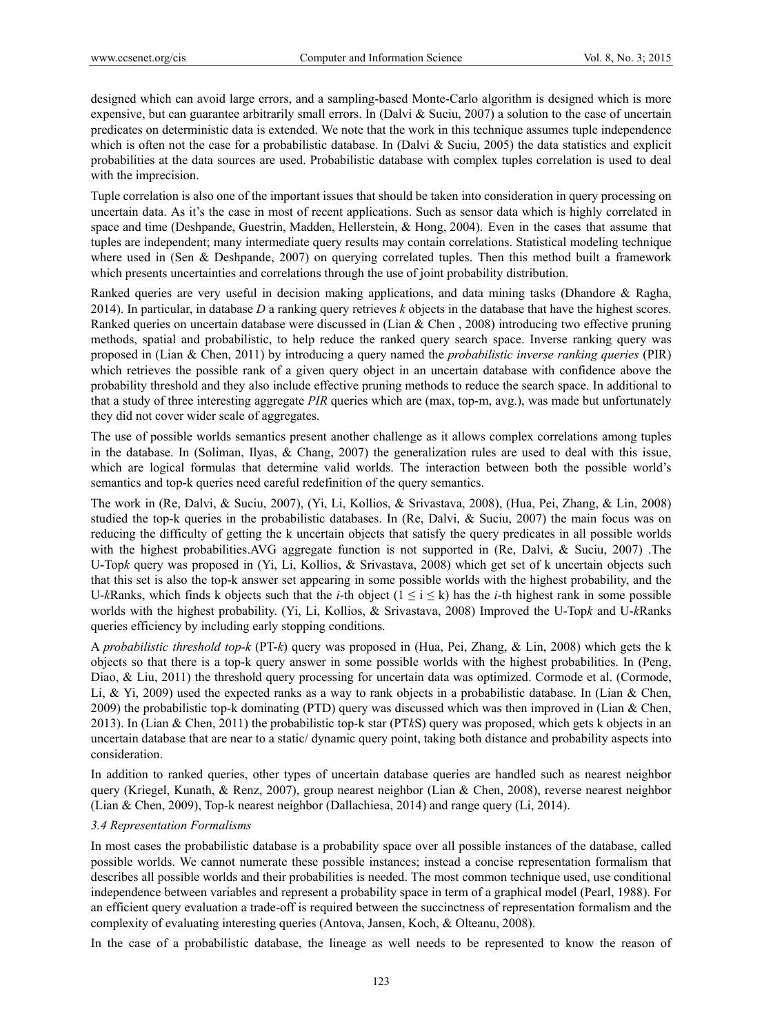designed which can avoid large errors, and a sampling-based Monte-Carlo algorithm is designed which is more expensive, but can guarantee arbitrarily small errors. In (Dalvi & Suciu, 2007) a solution to the case of uncertain predicates on deterministic data is extended. We note that the work in this technique assumes tuple independence which is often not the case for a probabilistic database. In (Dalvi & Suciu, 2005) the data statistics and explicit probabilities at the data sources are used. Probabilistic database with complex tuples correlation is used to deal with the imprecision.

Tuple correlation is also one of the important issues that should be taken into consideration in query processing on uncertain data. As it's the case in most of recent applications. Such as sensor data which is highly correlated in space and time (Deshpande, Guestrin, Madden, Hellerstein, & Hong, 2004). Even in the cases that assume that tuples are independent; many intermediate query results may contain correlations. Statistical modeling technique where used in (Sen & Deshpande, 2007) on querying correlated tuples. Then this method built a framework which presents uncertainties and correlations through the use of joint probability distribution.

Ranked queries are very useful in decision making applications, and data mining tasks (Dhandore & Ragha, 2014). In particular, in database *D* a ranking query retrieves *k* objects in the database that have the highest scores. Ranked queries on uncertain database were discussed in (Lian & Chen , 2008) introducing two effective pruning methods, spatial and probabilistic, to help reduce the ranked query search space. Inverse ranking query was proposed in (Lian & Chen, 2011) by introducing a query named the *probabilistic inverse ranking queries* (PIR) which retrieves the possible rank of a given query object in an uncertain database with confidence above the probability threshold and they also include effective pruning methods to reduce the search space. In additional to that a study of three interesting aggregate *PIR* queries which are (max, top-m, avg.), was made but unfortunately they did not cover wider scale of aggregates.

The use of possible worlds semantics present another challenge as it allows complex correlations among tuples in the database. In (Soliman, Ilyas, & Chang, 2007) the generalization rules are used to deal with this issue, which are logical formulas that determine valid worlds. The interaction between both the possible world's semantics and top-k queries need careful redefinition of the query semantics.

The work in (Re, Dalvi, & Suciu, 2007), (Yi, Li, Kollios, & Srivastava, 2008), (Hua, Pei, Zhang, & Lin, 2008) studied the top-k queries in the probabilistic databases. In (Re, Dalvi, & Suciu, 2007) the main focus was on reducing the difficulty of getting the k uncertain objects that satisfy the query predicates in all possible worlds with the highest probabilities.AVG aggregate function is not supported in (Re, Dalvi, & Suciu, 2007) .The U-Top*k* query was proposed in (Yi, Li, Kollios, & Srivastava, 2008) which get set of k uncertain objects such that this set is also the top-k answer set appearing in some possible worlds with the highest probability, and the U-kRanks, which finds k objects such that the *i*-th object  $(1 \le i \le k)$  has the *i*-th highest rank in some possible worlds with the highest probability. (Yi, Li, Kollios, & Srivastava, 2008) Improved the U-Top*k* and U-*k*Ranks queries efficiency by including early stopping conditions.

A *probabilistic threshold top-k* (PT-*k*) query was proposed in (Hua, Pei, Zhang, & Lin, 2008) which gets the k objects so that there is a top-k query answer in some possible worlds with the highest probabilities. In (Peng, Diao, & Liu, 2011) the threshold query processing for uncertain data was optimized. Cormode et al. (Cormode, Li, & Yi, 2009) used the expected ranks as a way to rank objects in a probabilistic database. In (Lian & Chen, 2009) the probabilistic top-k dominating (PTD) query was discussed which was then improved in (Lian & Chen, 2013). In (Lian & Chen, 2011) the probabilistic top-k star (PT*k*S) query was proposed, which gets k objects in an uncertain database that are near to a static/ dynamic query point, taking both distance and probability aspects into consideration.

In addition to ranked queries, other types of uncertain database queries are handled such as nearest neighbor query (Kriegel, Kunath, & Renz, 2007), group nearest neighbor (Lian & Chen, 2008), reverse nearest neighbor (Lian & Chen, 2009), Top-k nearest neighbor (Dallachiesa, 2014) and range query (Li, 2014).

### *3.4 Representation Formalisms*

In most cases the probabilistic database is a probability space over all possible instances of the database, called possible worlds. We cannot numerate these possible instances; instead a concise representation formalism that describes all possible worlds and their probabilities is needed. The most common technique used, use conditional independence between variables and represent a probability space in term of a graphical model (Pearl, 1988). For an efficient query evaluation a trade-off is required between the succinctness of representation formalism and the complexity of evaluating interesting queries (Antova, Jansen, Koch, & Olteanu, 2008).

In the case of a probabilistic database, the lineage as well needs to be represented to know the reason of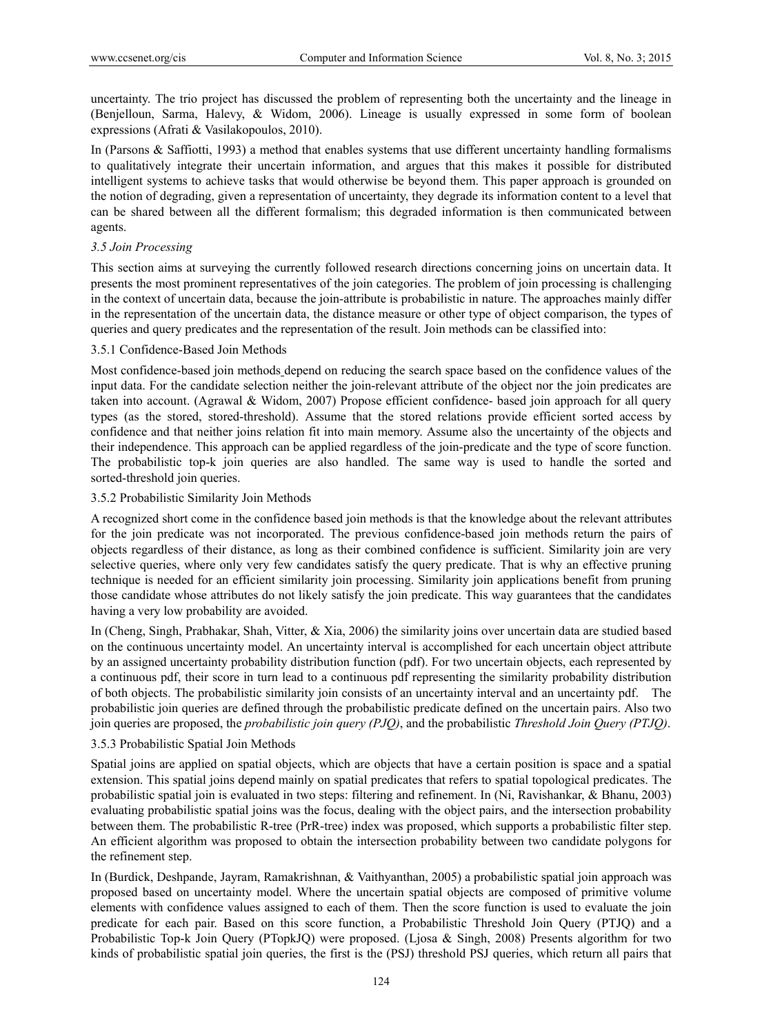uncertainty. The trio project has discussed the problem of representing both the uncertainty and the lineage in (Benjelloun, Sarma, Halevy, & Widom, 2006). Lineage is usually expressed in some form of boolean expressions (Afrati & Vasilakopoulos, 2010).

In (Parsons & Saffiotti, 1993) a method that enables systems that use different uncertainty handling formalisms to qualitatively integrate their uncertain information, and argues that this makes it possible for distributed intelligent systems to achieve tasks that would otherwise be beyond them. This paper approach is grounded on the notion of degrading, given a representation of uncertainty, they degrade its information content to a level that can be shared between all the different formalism; this degraded information is then communicated between agents.

### *3.5 Join Processing*

This section aims at surveying the currently followed research directions concerning joins on uncertain data. It presents the most prominent representatives of the join categories. The problem of join processing is challenging in the context of uncertain data, because the join-attribute is probabilistic in nature. The approaches mainly differ in the representation of the uncertain data, the distance measure or other type of object comparison, the types of queries and query predicates and the representation of the result. Join methods can be classified into:

## 3.5.1 Confidence-Based Join Methods

Most confidence-based join methods depend on reducing the search space based on the confidence values of the input data. For the candidate selection neither the join-relevant attribute of the object nor the join predicates are taken into account. (Agrawal & Widom, 2007) Propose efficient confidence- based join approach for all query types (as the stored, stored-threshold). Assume that the stored relations provide efficient sorted access by confidence and that neither joins relation fit into main memory. Assume also the uncertainty of the objects and their independence. This approach can be applied regardless of the join-predicate and the type of score function. The probabilistic top-k join queries are also handled. The same way is used to handle the sorted and sorted-threshold join queries.

## 3.5.2 Probabilistic Similarity Join Methods

A recognized short come in the confidence based join methods is that the knowledge about the relevant attributes for the join predicate was not incorporated. The previous confidence-based join methods return the pairs of objects regardless of their distance, as long as their combined confidence is sufficient. Similarity join are very selective queries, where only very few candidates satisfy the query predicate. That is why an effective pruning technique is needed for an efficient similarity join processing. Similarity join applications benefit from pruning those candidate whose attributes do not likely satisfy the join predicate. This way guarantees that the candidates having a very low probability are avoided.

In (Cheng, Singh, Prabhakar, Shah, Vitter, & Xia, 2006) the similarity joins over uncertain data are studied based on the continuous uncertainty model. An uncertainty interval is accomplished for each uncertain object attribute by an assigned uncertainty probability distribution function (pdf). For two uncertain objects, each represented by a continuous pdf, their score in turn lead to a continuous pdf representing the similarity probability distribution of both objects. The probabilistic similarity join consists of an uncertainty interval and an uncertainty pdf. The probabilistic join queries are defined through the probabilistic predicate defined on the uncertain pairs. Also two join queries are proposed, the *probabilistic join query (PJQ)*, and the probabilistic *Threshold Join Query (PTJQ)*.

### 3.5.3 Probabilistic Spatial Join Methods

Spatial joins are applied on spatial objects, which are objects that have a certain position is space and a spatial extension. This spatial joins depend mainly on spatial predicates that refers to spatial topological predicates. The probabilistic spatial join is evaluated in two steps: filtering and refinement. In (Ni, Ravishankar, & Bhanu, 2003) evaluating probabilistic spatial joins was the focus, dealing with the object pairs, and the intersection probability between them. The probabilistic R-tree (PrR-tree) index was proposed, which supports a probabilistic filter step. An efficient algorithm was proposed to obtain the intersection probability between two candidate polygons for the refinement step.

In (Burdick, Deshpande, Jayram, Ramakrishnan, & Vaithyanthan, 2005) a probabilistic spatial join approach was proposed based on uncertainty model. Where the uncertain spatial objects are composed of primitive volume elements with confidence values assigned to each of them. Then the score function is used to evaluate the join predicate for each pair. Based on this score function, a Probabilistic Threshold Join Query (PTJQ) and a Probabilistic Top-k Join Query (PTopkJQ) were proposed. (Ljosa & Singh, 2008) Presents algorithm for two kinds of probabilistic spatial join queries, the first is the (PSJ) threshold PSJ queries, which return all pairs that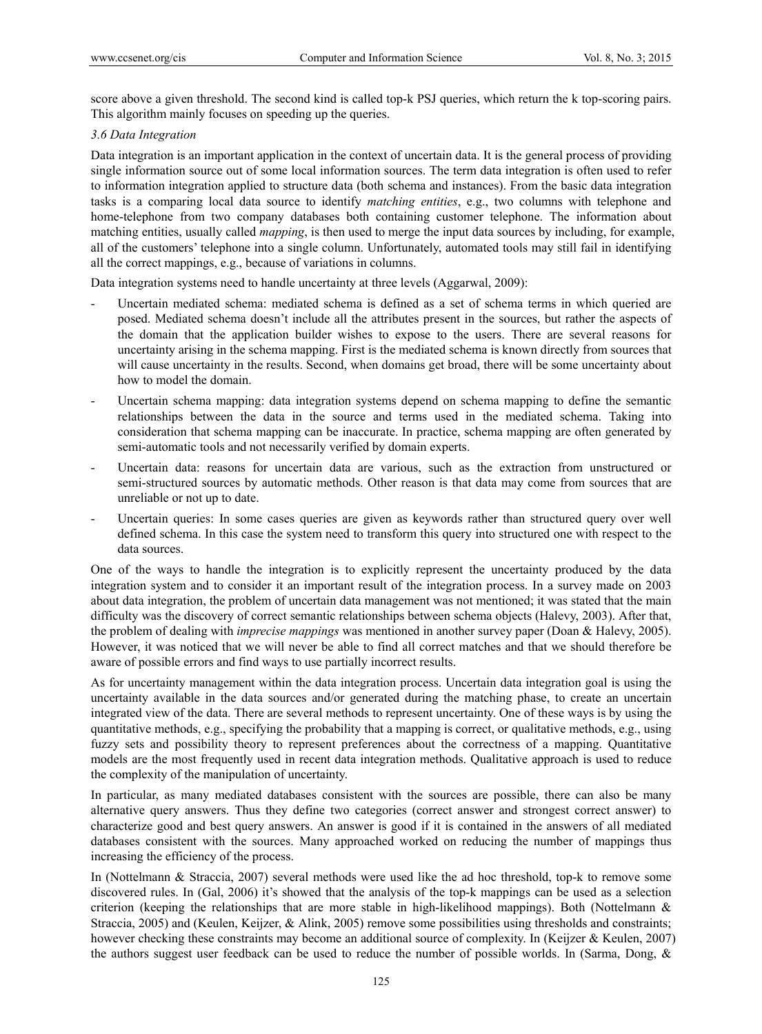score above a given threshold. The second kind is called top-k PSJ queries, which return the k top-scoring pairs. This algorithm mainly focuses on speeding up the queries.

#### *3.6 Data Integration*

Data integration is an important application in the context of uncertain data. It is the general process of providing single information source out of some local information sources. The term data integration is often used to refer to information integration applied to structure data (both schema and instances). From the basic data integration tasks is a comparing local data source to identify *matching entities*, e.g., two columns with telephone and home-telephone from two company databases both containing customer telephone. The information about matching entities, usually called *mapping*, is then used to merge the input data sources by including, for example, all of the customers' telephone into a single column. Unfortunately, automated tools may still fail in identifying all the correct mappings, e.g., because of variations in columns.

Data integration systems need to handle uncertainty at three levels (Aggarwal, 2009):

- Uncertain mediated schema: mediated schema is defined as a set of schema terms in which queried are posed. Mediated schema doesn't include all the attributes present in the sources, but rather the aspects of the domain that the application builder wishes to expose to the users. There are several reasons for uncertainty arising in the schema mapping. First is the mediated schema is known directly from sources that will cause uncertainty in the results. Second, when domains get broad, there will be some uncertainty about how to model the domain.
- Uncertain schema mapping: data integration systems depend on schema mapping to define the semantic relationships between the data in the source and terms used in the mediated schema. Taking into consideration that schema mapping can be inaccurate. In practice, schema mapping are often generated by semi-automatic tools and not necessarily verified by domain experts.
- Uncertain data: reasons for uncertain data are various, such as the extraction from unstructured or semi-structured sources by automatic methods. Other reason is that data may come from sources that are unreliable or not up to date.
- Uncertain queries: In some cases queries are given as keywords rather than structured query over well defined schema. In this case the system need to transform this query into structured one with respect to the data sources.

One of the ways to handle the integration is to explicitly represent the uncertainty produced by the data integration system and to consider it an important result of the integration process. In a survey made on 2003 about data integration, the problem of uncertain data management was not mentioned; it was stated that the main difficulty was the discovery of correct semantic relationships between schema objects (Halevy, 2003). After that, the problem of dealing with *imprecise mappings* was mentioned in another survey paper (Doan & Halevy, 2005). However, it was noticed that we will never be able to find all correct matches and that we should therefore be aware of possible errors and find ways to use partially incorrect results.

As for uncertainty management within the data integration process. Uncertain data integration goal is using the uncertainty available in the data sources and/or generated during the matching phase, to create an uncertain integrated view of the data. There are several methods to represent uncertainty. One of these ways is by using the quantitative methods, e.g., specifying the probability that a mapping is correct, or qualitative methods, e.g., using fuzzy sets and possibility theory to represent preferences about the correctness of a mapping. Quantitative models are the most frequently used in recent data integration methods. Qualitative approach is used to reduce the complexity of the manipulation of uncertainty.

In particular, as many mediated databases consistent with the sources are possible, there can also be many alternative query answers. Thus they define two categories (correct answer and strongest correct answer) to characterize good and best query answers. An answer is good if it is contained in the answers of all mediated databases consistent with the sources. Many approached worked on reducing the number of mappings thus increasing the efficiency of the process.

In (Nottelmann & Straccia, 2007) several methods were used like the ad hoc threshold, top-k to remove some discovered rules. In (Gal, 2006) it's showed that the analysis of the top-k mappings can be used as a selection criterion (keeping the relationships that are more stable in high-likelihood mappings). Both (Nottelmann  $\&$ Straccia, 2005) and (Keulen, Keijzer, & Alink, 2005) remove some possibilities using thresholds and constraints; however checking these constraints may become an additional source of complexity. In (Keijzer & Keulen, 2007) the authors suggest user feedback can be used to reduce the number of possible worlds. In (Sarma, Dong, &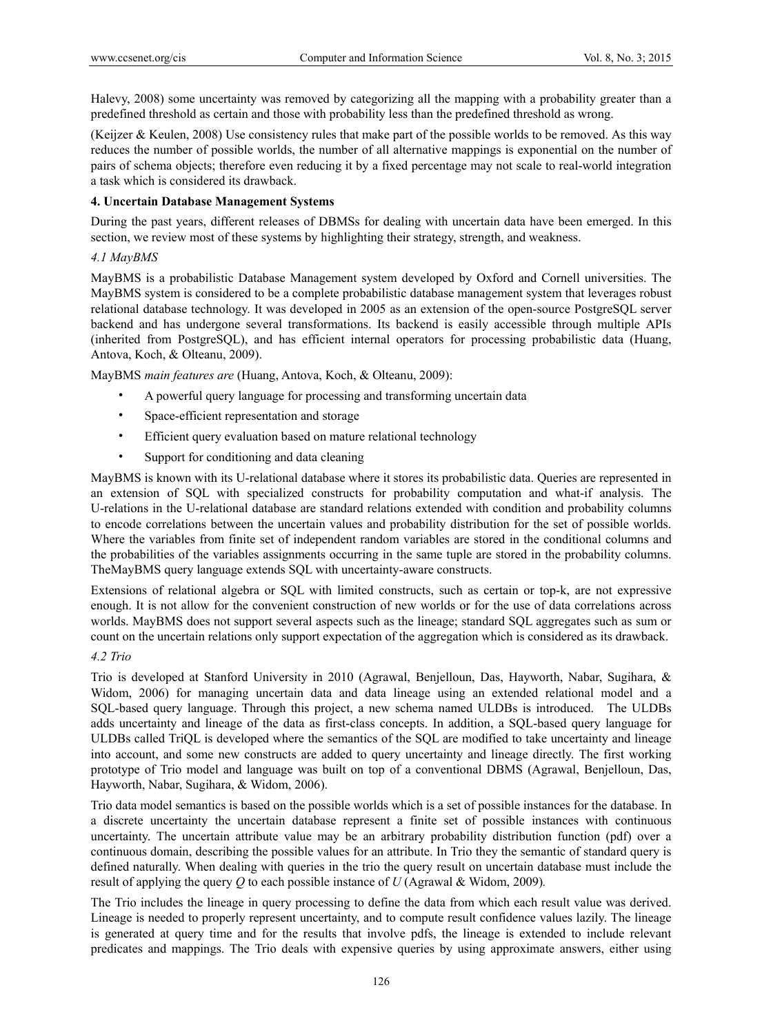Halevy, 2008) some uncertainty was removed by categorizing all the mapping with a probability greater than a predefined threshold as certain and those with probability less than the predefined threshold as wrong.

(Keijzer & Keulen, 2008) Use consistency rules that make part of the possible worlds to be removed. As this way reduces the number of possible worlds, the number of all alternative mappings is exponential on the number of pairs of schema objects; therefore even reducing it by a fixed percentage may not scale to real-world integration a task which is considered its drawback.

# **4. Uncertain Database Management Systems**

During the past years, different releases of DBMSs for dealing with uncertain data have been emerged. In this section, we review most of these systems by highlighting their strategy, strength, and weakness.

## *4.1 MayBMS*

MayBMS is a probabilistic Database Management system developed by Oxford and Cornell universities. The MayBMS system is considered to be a complete probabilistic database management system that leverages robust relational database technology. It was developed in 2005 as an extension of the open-source PostgreSQL server backend and has undergone several transformations. Its backend is easily accessible through multiple APIs (inherited from PostgreSQL), and has efficient internal operators for processing probabilistic data (Huang, Antova, Koch, & Olteanu, 2009).

MayBMS *main features are* (Huang, Antova, Koch, & Olteanu, 2009):

- A powerful query language for processing and transforming uncertain data
- Space-efficient representation and storage
- Efficient query evaluation based on mature relational technology
- Support for conditioning and data cleaning

MayBMS is known with its U-relational database where it stores its probabilistic data. Queries are represented in an extension of SQL with specialized constructs for probability computation and what-if analysis. The U-relations in the U-relational database are standard relations extended with condition and probability columns to encode correlations between the uncertain values and probability distribution for the set of possible worlds. Where the variables from finite set of independent random variables are stored in the conditional columns and the probabilities of the variables assignments occurring in the same tuple are stored in the probability columns. TheMayBMS query language extends SQL with uncertainty-aware constructs.

Extensions of relational algebra or SQL with limited constructs, such as certain or top-k, are not expressive enough. It is not allow for the convenient construction of new worlds or for the use of data correlations across worlds. MayBMS does not support several aspects such as the lineage; standard SQL aggregates such as sum or count on the uncertain relations only support expectation of the aggregation which is considered as its drawback.

### *4.2 Trio*

Trio is developed at Stanford University in 2010 (Agrawal, Benjelloun, Das, Hayworth, Nabar, Sugihara, & Widom, 2006) for managing uncertain data and data lineage using an extended relational model and a SQL-based query language. Through this project, a new schema named ULDBs is introduced. The ULDBs adds uncertainty and lineage of the data as first-class concepts. In addition, a SQL-based query language for ULDBs called TriQL is developed where the semantics of the SQL are modified to take uncertainty and lineage into account, and some new constructs are added to query uncertainty and lineage directly. The first working prototype of Trio model and language was built on top of a conventional DBMS (Agrawal, Benjelloun, Das, Hayworth, Nabar, Sugihara, & Widom, 2006).

Trio data model semantics is based on the possible worlds which is a set of possible instances for the database. In a discrete uncertainty the uncertain database represent a finite set of possible instances with continuous uncertainty. The uncertain attribute value may be an arbitrary probability distribution function (pdf) over a continuous domain, describing the possible values for an attribute. In Trio they the semantic of standard query is defined naturally. When dealing with queries in the trio the query result on uncertain database must include the result of applying the query *Q* to each possible instance of *U* (Agrawal & Widom, 2009)*.* 

The Trio includes the lineage in query processing to define the data from which each result value was derived. Lineage is needed to properly represent uncertainty, and to compute result confidence values lazily. The lineage is generated at query time and for the results that involve pdfs, the lineage is extended to include relevant predicates and mappings. The Trio deals with expensive queries by using approximate answers, either using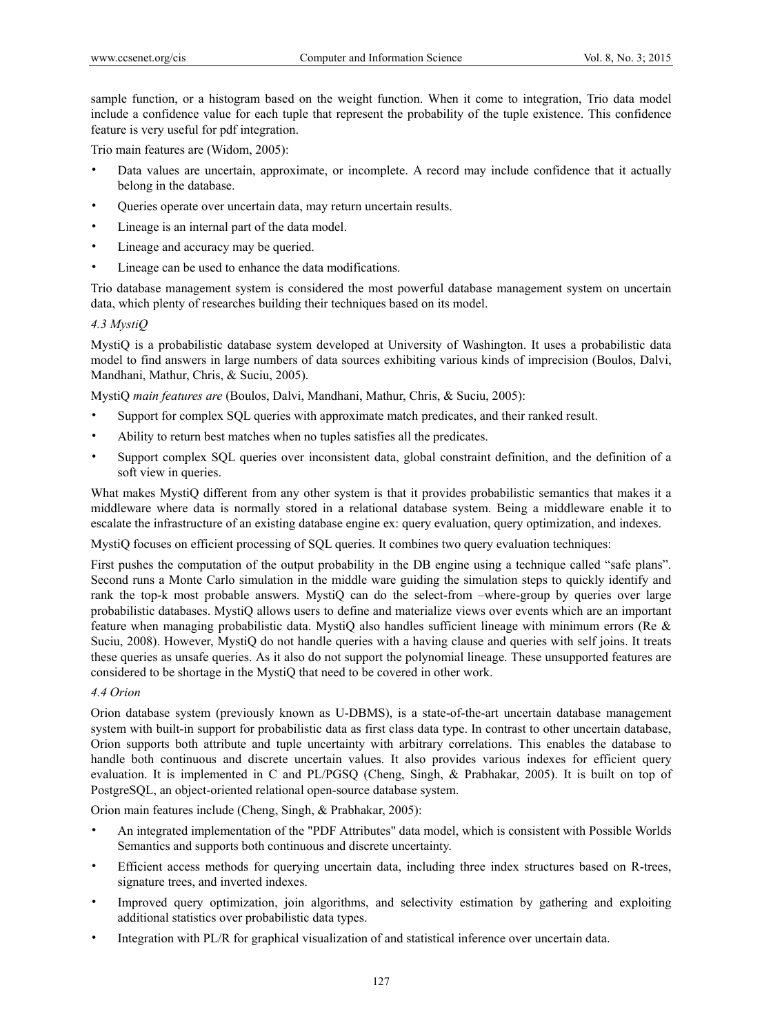sample function, or a histogram based on the weight function. When it come to integration, Trio data model include a confidence value for each tuple that represent the probability of the tuple existence. This confidence feature is very useful for pdf integration.

Trio main features are (Widom, 2005):

- Data values are uncertain, approximate, or incomplete. A record may include confidence that it actually belong in the database.
- Queries operate over uncertain data, may return uncertain results.
- Lineage is an internal part of the data model.
- Lineage and accuracy may be queried.
- Lineage can be used to enhance the data modifications.

Trio database management system is considered the most powerful database management system on uncertain data, which plenty of researches building their techniques based on its model.

## *4.3 MystiQ*

MystiQ is a probabilistic database system developed at University of Washington. It uses a probabilistic data model to find answers in large numbers of data sources exhibiting various kinds of imprecision (Boulos, Dalvi, Mandhani, Mathur, Chris, & Suciu, 2005).

MystiQ *main features are* (Boulos, Dalvi, Mandhani, Mathur, Chris, & Suciu, 2005):

- Support for complex SQL queries with approximate match predicates, and their ranked result.
- Ability to return best matches when no tuples satisfies all the predicates.
- Support complex SQL queries over inconsistent data, global constraint definition, and the definition of a soft view in queries.

What makes MystiQ different from any other system is that it provides probabilistic semantics that makes it a middleware where data is normally stored in a relational database system. Being a middleware enable it to escalate the infrastructure of an existing database engine ex: query evaluation, query optimization, and indexes.

MystiQ focuses on efficient processing of SQL queries. It combines two query evaluation techniques:

First pushes the computation of the output probability in the DB engine using a technique called "safe plans". Second runs a Monte Carlo simulation in the middle ware guiding the simulation steps to quickly identify and rank the top-k most probable answers. MystiQ can do the select-from –where-group by queries over large probabilistic databases. MystiQ allows users to define and materialize views over events which are an important feature when managing probabilistic data. MystiQ also handles sufficient lineage with minimum errors (Re & Suciu, 2008). However, MystiQ do not handle queries with a having clause and queries with self joins. It treats these queries as unsafe queries. As it also do not support the polynomial lineage. These unsupported features are considered to be shortage in the MystiQ that need to be covered in other work.

## *4.4 Orion*

Orion database system (previously known as U-DBMS), is a state-of-the-art uncertain database management system with built-in support for probabilistic data as first class data type. In contrast to other uncertain database, Orion supports both attribute and tuple uncertainty with arbitrary correlations. This enables the database to handle both continuous and discrete uncertain values. It also provides various indexes for efficient query evaluation. It is implemented in C and PL/PGSQ (Cheng, Singh, & Prabhakar, 2005). It is built on top of PostgreSQL, an object-oriented relational open-source database system.

Orion main features include (Cheng, Singh, & Prabhakar, 2005):

- An integrated implementation of the "PDF Attributes" data model, which is consistent with Possible Worlds Semantics and supports both continuous and discrete uncertainty.
- Efficient access methods for querying uncertain data, including three index structures based on R-trees, signature trees, and inverted indexes.
- Improved query optimization, join algorithms, and selectivity estimation by gathering and exploiting additional statistics over probabilistic data types.
- Integration with PL/R for graphical visualization of and statistical inference over uncertain data.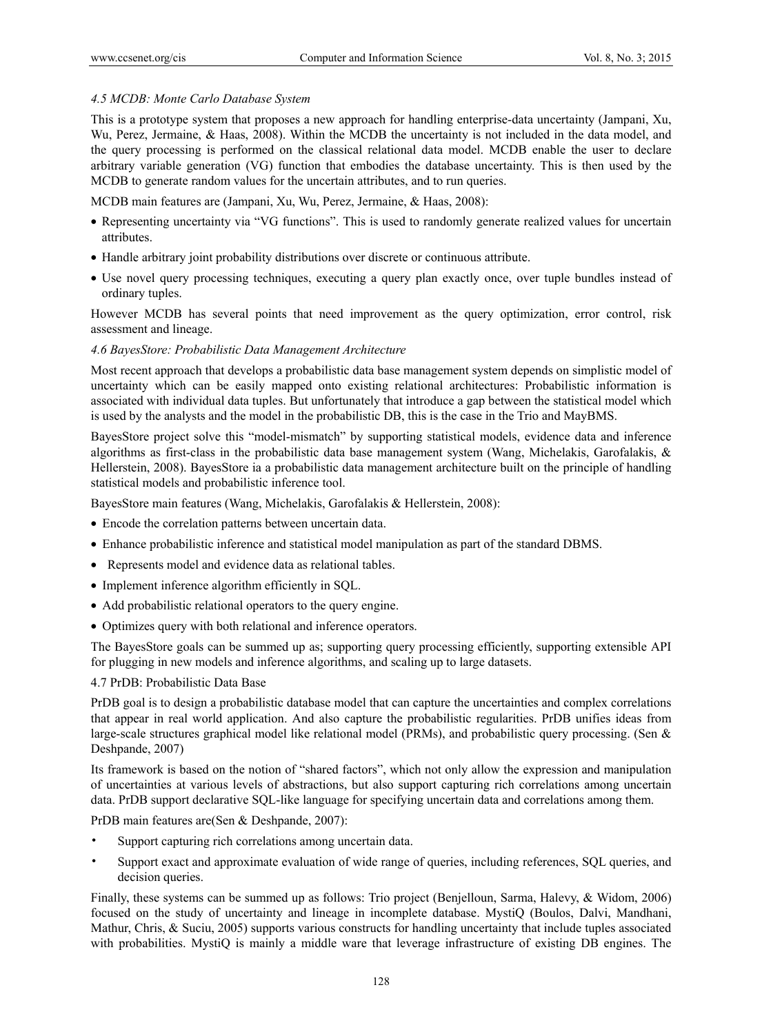### *4.5 MCDB: Monte Carlo Database System*

This is a prototype system that proposes a new approach for handling enterprise-data uncertainty (Jampani, Xu, Wu, Perez, Jermaine, & Haas, 2008). Within the MCDB the uncertainty is not included in the data model, and the query processing is performed on the classical relational data model. MCDB enable the user to declare arbitrary variable generation (VG) function that embodies the database uncertainty. This is then used by the MCDB to generate random values for the uncertain attributes, and to run queries.

MCDB main features are (Jampani, Xu, Wu, Perez, Jermaine, & Haas, 2008):

- Representing uncertainty via "VG functions". This is used to randomly generate realized values for uncertain attributes.
- Handle arbitrary joint probability distributions over discrete or continuous attribute.
- Use novel query processing techniques, executing a query plan exactly once, over tuple bundles instead of ordinary tuples.

However MCDB has several points that need improvement as the query optimization, error control, risk assessment and lineage.

### *4.6 BayesStore: Probabilistic Data Management Architecture*

Most recent approach that develops a probabilistic data base management system depends on simplistic model of uncertainty which can be easily mapped onto existing relational architectures: Probabilistic information is associated with individual data tuples. But unfortunately that introduce a gap between the statistical model which is used by the analysts and the model in the probabilistic DB, this is the case in the Trio and MayBMS.

BayesStore project solve this "model-mismatch" by supporting statistical models, evidence data and inference algorithms as first-class in the probabilistic data base management system (Wang, Michelakis, Garofalakis, & Hellerstein, 2008). BayesStore ia a probabilistic data management architecture built on the principle of handling statistical models and probabilistic inference tool.

BayesStore main features (Wang, Michelakis, Garofalakis & Hellerstein, 2008):

- Encode the correlation patterns between uncertain data.
- Enhance probabilistic inference and statistical model manipulation as part of the standard DBMS.
- Represents model and evidence data as relational tables.
- Implement inference algorithm efficiently in SQL.
- Add probabilistic relational operators to the query engine.
- Optimizes query with both relational and inference operators.

The BayesStore goals can be summed up as; supporting query processing efficiently, supporting extensible API for plugging in new models and inference algorithms, and scaling up to large datasets.

4.7 PrDB: Probabilistic Data Base

PrDB goal is to design a probabilistic database model that can capture the uncertainties and complex correlations that appear in real world application. And also capture the probabilistic regularities. PrDB unifies ideas from large-scale structures graphical model like relational model (PRMs), and probabilistic query processing. (Sen & Deshpande, 2007)

Its framework is based on the notion of "shared factors", which not only allow the expression and manipulation of uncertainties at various levels of abstractions, but also support capturing rich correlations among uncertain data. PrDB support declarative SQL-like language for specifying uncertain data and correlations among them.

PrDB main features are(Sen & Deshpande, 2007):

- Support capturing rich correlations among uncertain data.
- Support exact and approximate evaluation of wide range of queries, including references, SQL queries, and decision queries.

Finally, these systems can be summed up as follows: Trio project (Benjelloun, Sarma, Halevy, & Widom, 2006) focused on the study of uncertainty and lineage in incomplete database. MystiQ (Boulos, Dalvi, Mandhani, Mathur, Chris, & Suciu, 2005) supports various constructs for handling uncertainty that include tuples associated with probabilities. MystiQ is mainly a middle ware that leverage infrastructure of existing DB engines. The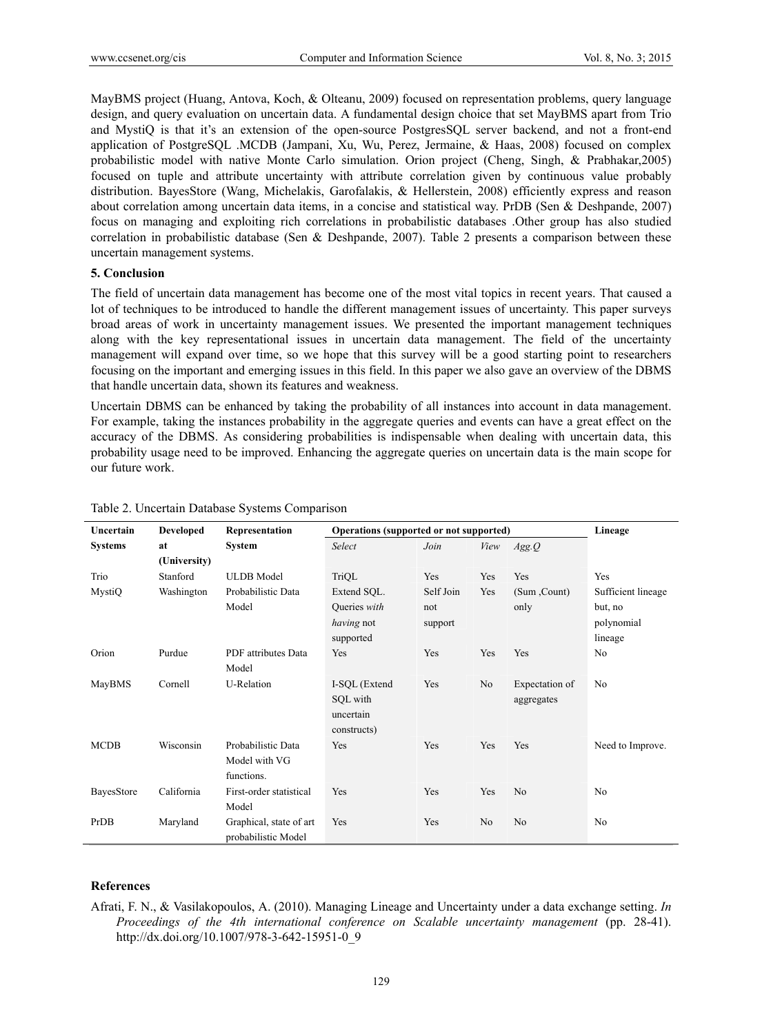MayBMS project (Huang, Antova, Koch, & Olteanu, 2009) focused on representation problems, query language design, and query evaluation on uncertain data. A fundamental design choice that set MayBMS apart from Trio and MystiQ is that it's an extension of the open-source PostgresSQL server backend, and not a front-end application of PostgreSQL .MCDB (Jampani, Xu, Wu, Perez, Jermaine, & Haas, 2008) focused on complex probabilistic model with native Monte Carlo simulation. Orion project (Cheng, Singh, & Prabhakar,2005) focused on tuple and attribute uncertainty with attribute correlation given by continuous value probably distribution. BayesStore (Wang, Michelakis, Garofalakis, & Hellerstein, 2008) efficiently express and reason about correlation among uncertain data items, in a concise and statistical way. PrDB (Sen & Deshpande, 2007) focus on managing and exploiting rich correlations in probabilistic databases .Other group has also studied correlation in probabilistic database (Sen & Deshpande, 2007). Table 2 presents a comparison between these uncertain management systems.

#### **5. Conclusion**

The field of uncertain data management has become one of the most vital topics in recent years. That caused a lot of techniques to be introduced to handle the different management issues of uncertainty. This paper surveys broad areas of work in uncertainty management issues. We presented the important management techniques along with the key representational issues in uncertain data management. The field of the uncertainty management will expand over time, so we hope that this survey will be a good starting point to researchers focusing on the important and emerging issues in this field. In this paper we also gave an overview of the DBMS that handle uncertain data, shown its features and weakness.

Uncertain DBMS can be enhanced by taking the probability of all instances into account in data management. For example, taking the instances probability in the aggregate queries and events can have a great effect on the accuracy of the DBMS. As considering probabilities is indispensable when dealing with uncertain data, this probability usage need to be improved. Enhancing the aggregate queries on uncertain data is the main scope for our future work.

| Uncertain      | <b>Developed</b> | Representation          | Operations (supported or not supported) |           |                | Lineage        |                    |
|----------------|------------------|-------------------------|-----------------------------------------|-----------|----------------|----------------|--------------------|
| <b>Systems</b> | at               | <b>System</b>           | Select                                  | Join      | View           | Agg.Q          |                    |
|                | (University)     |                         |                                         |           |                |                |                    |
| Trio           | Stanford         | <b>ULDB</b> Model       | TriQL                                   | Yes       | Yes            | Yes            | Yes                |
| MystiQ         | Washington       | Probabilistic Data      | Extend SQL.                             | Self Join | Yes            | (Sum , Count)  | Sufficient lineage |
|                |                  | Model                   | Queries with                            | not       |                | only           | but, no            |
|                |                  |                         | having not                              | support   |                |                | polynomial         |
|                |                  |                         | supported                               |           |                |                | lineage            |
| Orion          | Purdue           | PDF attributes Data     | Yes                                     | Yes       | Yes            | Yes            | N <sub>0</sub>     |
|                |                  | Model                   |                                         |           |                |                |                    |
| MayBMS         | Cornell          | U-Relation              | I-SQL (Extend                           | Yes       | N <sub>o</sub> | Expectation of | N <sub>0</sub>     |
|                |                  |                         | SQL with                                |           |                | aggregates     |                    |
|                |                  |                         | uncertain                               |           |                |                |                    |
|                |                  |                         | constructs)                             |           |                |                |                    |
| <b>MCDB</b>    | Wisconsin        | Probabilistic Data      | Yes                                     | Yes       | Yes            | Yes            | Need to Improve.   |
|                |                  | Model with VG           |                                         |           |                |                |                    |
|                |                  | functions.              |                                         |           |                |                |                    |
| BayesStore     | California       | First-order statistical | Yes                                     | Yes       | Yes            | No             | N <sub>0</sub>     |
|                |                  | Model                   |                                         |           |                |                |                    |
| PrDB           | Maryland         | Graphical, state of art | Yes                                     | Yes       | N <sub>o</sub> | N <sub>o</sub> | No                 |
|                |                  | probabilistic Model     |                                         |           |                |                |                    |

#### Table 2. Uncertain Database Systems Comparison

#### **References**

Afrati, F. N., & Vasilakopoulos, A. (2010). Managing Lineage and Uncertainty under a data exchange setting. *In Proceedings of the 4th international conference on Scalable uncertainty management* (pp. 28-41). http://dx.doi.org/10.1007/978-3-642-15951-0\_9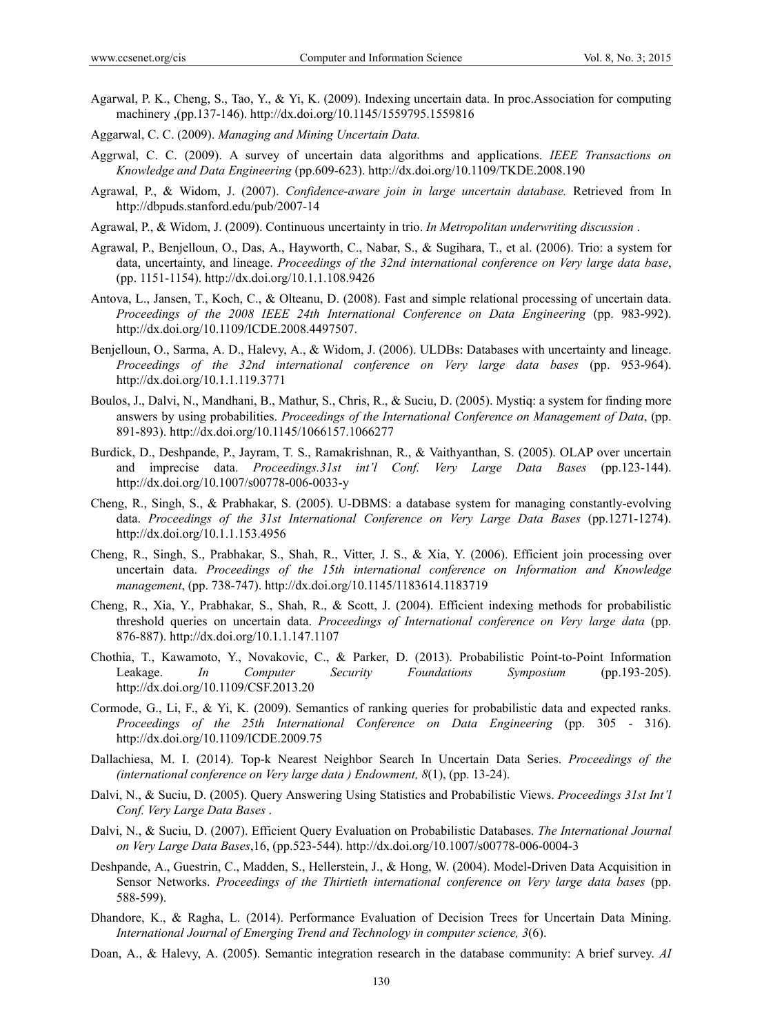- Agarwal, P. K., Cheng, S., Tao, Y., & Yi, K. (2009). Indexing uncertain data. In proc.Association for computing machinery ,(pp.137-146). http://dx.doi.org/10.1145/1559795.1559816
- Aggarwal, C. C. (2009). *Managing and Mining Uncertain Data.*
- Aggrwal, C. C. (2009). A survey of uncertain data algorithms and applications. *IEEE Transactions on Knowledge and Data Engineering* (pp.609-623). http://dx.doi.org/10.1109/TKDE.2008.190
- Agrawal, P., & Widom, J. (2007). *Confidence-aware join in large uncertain database.* Retrieved from In http://dbpuds.stanford.edu/pub/2007-14
- Agrawal, P., & Widom, J. (2009). Continuous uncertainty in trio. *In Metropolitan underwriting discussion* .
- Agrawal, P., Benjelloun, O., Das, A., Hayworth, C., Nabar, S., & Sugihara, T., et al. (2006). Trio: a system for data, uncertainty, and lineage. *Proceedings of the 32nd international conference on Very large data base*, (pp. 1151-1154). http://dx.doi.org/10.1.1.108.9426
- Antova, L., Jansen, T., Koch, C., & Olteanu, D. (2008). Fast and simple relational processing of uncertain data. *Proceedings of the 2008 IEEE 24th International Conference on Data Engineering* (pp. 983-992). http://dx.doi.org/10.1109/ICDE.2008.4497507.
- Benjelloun, O., Sarma, A. D., Halevy, A., & Widom, J. (2006). ULDBs: Databases with uncertainty and lineage. *Proceedings of the 32nd international conference on Very large data bases* (pp. 953-964). http://dx.doi.org/10.1.1.119.3771
- Boulos, J., Dalvi, N., Mandhani, B., Mathur, S., Chris, R., & Suciu, D. (2005). Mystiq: a system for finding more answers by using probabilities. *Proceedings of the International Conference on Management of Data*, (pp. 891-893). http://dx.doi.org/10.1145/1066157.1066277
- Burdick, D., Deshpande, P., Jayram, T. S., Ramakrishnan, R., & Vaithyanthan, S. (2005). OLAP over uncertain and imprecise data. *Proceedings.31st int'l Conf. Very Large Data Bases* (pp.123-144). http://dx.doi.org/10.1007/s00778-006-0033-y
- Cheng, R., Singh, S., & Prabhakar, S. (2005). U-DBMS: a database system for managing constantly-evolving data. *Proceedings of the 31st International Conference on Very Large Data Bases* (pp.1271-1274). http://dx.doi.org/10.1.1.153.4956
- Cheng, R., Singh, S., Prabhakar, S., Shah, R., Vitter, J. S., & Xia, Y. (2006). Efficient join processing over uncertain data. *Proceedings of the 15th international conference on Information and Knowledge management*, (pp. 738-747). http://dx.doi.org/10.1145/1183614.1183719
- Cheng, R., Xia, Y., Prabhakar, S., Shah, R., & Scott, J. (2004). Efficient indexing methods for probabilistic threshold queries on uncertain data. *Proceedings of International conference on Very large data* (pp. 876-887). http://dx.doi.org/10.1.1.147.1107
- Chothia, T., Kawamoto, Y., Novakovic, C., & Parker, D. (2013). Probabilistic Point-to-Point Information Leakage. *In Computer Security Foundations Symposium* (pp.193-205). http://dx.doi.org/10.1109/CSF.2013.20
- Cormode, G., Li, F., & Yi, K. (2009). Semantics of ranking queries for probabilistic data and expected ranks. *Proceedings of the 25th International Conference on Data Engineering* (pp. 305 - 316). http://dx.doi.org/10.1109/ICDE.2009.75
- Dallachiesa, M. I. (2014). Top-k Nearest Neighbor Search In Uncertain Data Series. *Proceedings of the (international conference on Very large data ) Endowment, 8*(1), (pp. 13-24).
- Dalvi, N., & Suciu, D. (2005). Query Answering Using Statistics and Probabilistic Views. *Proceedings 31st Int'l Conf. Very Large Data Bases* .
- Dalvi, N., & Suciu, D. (2007). Efficient Query Evaluation on Probabilistic Databases. *The International Journal on Very Large Data Bases*,16, (pp.523-544). http://dx.doi.org/10.1007/s00778-006-0004-3
- Deshpande, A., Guestrin, C., Madden, S., Hellerstein, J., & Hong, W. (2004). Model-Driven Data Acquisition in Sensor Networks. *Proceedings of the Thirtieth international conference on Very large data bases* (pp. 588-599).
- Dhandore, K., & Ragha, L. (2014). Performance Evaluation of Decision Trees for Uncertain Data Mining. *International Journal of Emerging Trend and Technology in computer science, 3*(6).
- Doan, A., & Halevy, A. (2005). Semantic integration research in the database community: A brief survey. *AI*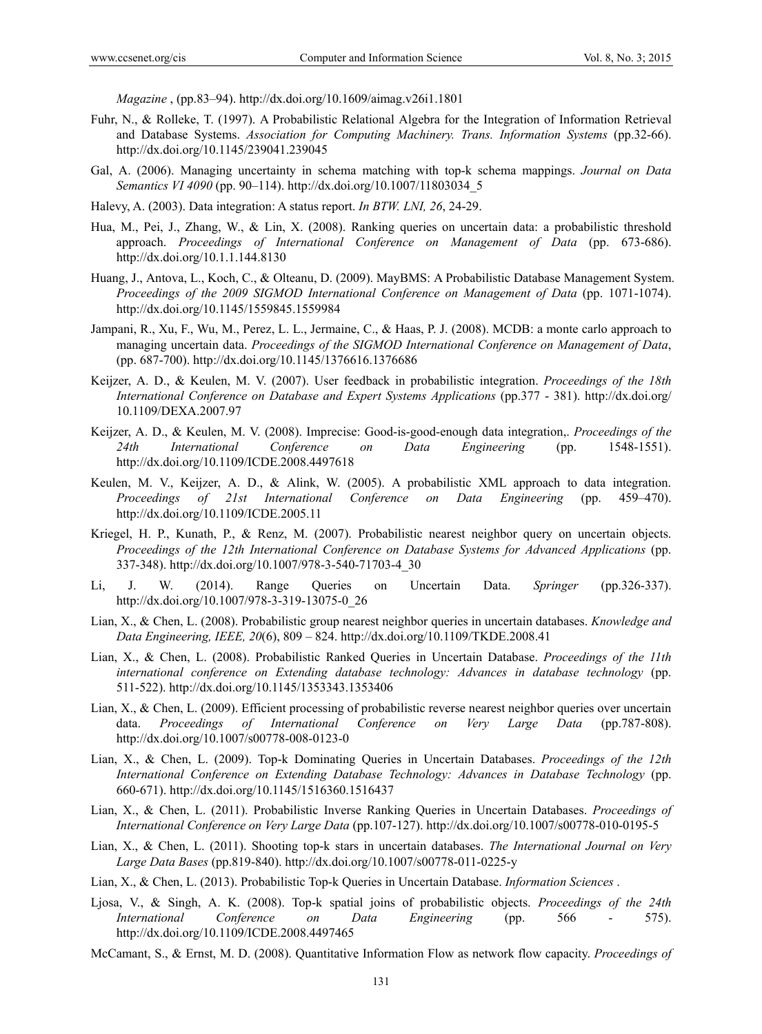*Magazine* , (pp.83–94). http://dx.doi.org/10.1609/aimag.v26i1.1801

- Fuhr, N., & Rolleke, T. (1997). A Probabilistic Relational Algebra for the Integration of Information Retrieval and Database Systems. *Association for Computing Machinery. Trans. Information Systems* (pp.32-66). http://dx.doi.org/10.1145/239041.239045
- Gal, A. (2006). Managing uncertainty in schema matching with top-k schema mappings. *Journal on Data Semantics VI 4090* (pp. 90–114). http://dx.doi.org/10.1007/11803034\_5
- Halevy, A. (2003). Data integration: A status report. *In BTW. LNI, 26*, 24-29.
- Hua, M., Pei, J., Zhang, W., & Lin, X. (2008). Ranking queries on uncertain data: a probabilistic threshold approach. *Proceedings of International Conference on Management of Data* (pp. 673-686). http://dx.doi.org/10.1.1.144.8130
- Huang, J., Antova, L., Koch, C., & Olteanu, D. (2009). MayBMS: A Probabilistic Database Management System. *Proceedings of the 2009 SIGMOD International Conference on Management of Data* (pp. 1071-1074). http://dx.doi.org/10.1145/1559845.1559984
- Jampani, R., Xu, F., Wu, M., Perez, L. L., Jermaine, C., & Haas, P. J. (2008). MCDB: a monte carlo approach to managing uncertain data. *Proceedings of the SIGMOD International Conference on Management of Data*, (pp. 687-700). http://dx.doi.org/10.1145/1376616.1376686
- Keijzer, A. D., & Keulen, M. V. (2007). User feedback in probabilistic integration. *Proceedings of the 18th International Conference on Database and Expert Systems Applications* (pp.377 - 381). http://dx.doi.org/ 10.1109/DEXA.2007.97
- Keijzer, A. D., & Keulen, M. V. (2008). Imprecise: Good-is-good-enough data integration,. *Proceedings of the 24th International Conference on Data Engineering* (pp. 1548-1551). http://dx.doi.org/10.1109/ICDE.2008.4497618
- Keulen, M. V., Keijzer, A. D., & Alink, W. (2005). A probabilistic XML approach to data integration. *Proceedings of 21st International Conference on Data Engineering* (pp. 459–470). http://dx.doi.org/10.1109/ICDE.2005.11
- Kriegel, H. P., Kunath, P., & Renz, M. (2007). Probabilistic nearest neighbor query on uncertain objects. *Proceedings of the 12th International Conference on Database Systems for Advanced Applications* (pp. 337-348). http://dx.doi.org/10.1007/978-3-540-71703-4\_30
- Li, J. W. (2014). Range Queries on Uncertain Data. *Springer* (pp.326-337). http://dx.doi.org/10.1007/978-3-319-13075-0\_26
- Lian, X., & Chen, L. (2008). Probabilistic group nearest neighbor queries in uncertain databases. *Knowledge and Data Engineering, IEEE, 20*(6), 809 – 824. http://dx.doi.org/10.1109/TKDE.2008.41
- Lian, X., & Chen, L. (2008). Probabilistic Ranked Queries in Uncertain Database. *Proceedings of the 11th international conference on Extending database technology: Advances in database technology* (pp. 511-522). http://dx.doi.org/10.1145/1353343.1353406
- Lian, X., & Chen, L. (2009). Efficient processing of probabilistic reverse nearest neighbor queries over uncertain data. *Proceedings of International Conference on Very Large Data* (pp.787-808). http://dx.doi.org/10.1007/s00778-008-0123-0
- Lian, X., & Chen, L. (2009). Top-k Dominating Queries in Uncertain Databases. *Proceedings of the 12th International Conference on Extending Database Technology: Advances in Database Technology* (pp. 660-671). http://dx.doi.org/10.1145/1516360.1516437
- Lian, X., & Chen, L. (2011). Probabilistic Inverse Ranking Queries in Uncertain Databases. *Proceedings of International Conference on Very Large Data* (pp.107-127). http://dx.doi.org/10.1007/s00778-010-0195-5
- Lian, X., & Chen, L. (2011). Shooting top-k stars in uncertain databases. *The International Journal on Very Large Data Bases* (pp.819-840). http://dx.doi.org/10.1007/s00778-011-0225-y
- Lian, X., & Chen, L. (2013). Probabilistic Top-k Queries in Uncertain Database. *Information Sciences* .
- Ljosa, V., & Singh, A. K. (2008). Top-k spatial joins of probabilistic objects. *Proceedings of the 24th International Conference on Data Engineering* (pp. 566 - 575). http://dx.doi.org/10.1109/ICDE.2008.4497465
- McCamant, S., & Ernst, M. D. (2008). Quantitative Information Flow as network flow capacity. *Proceedings of*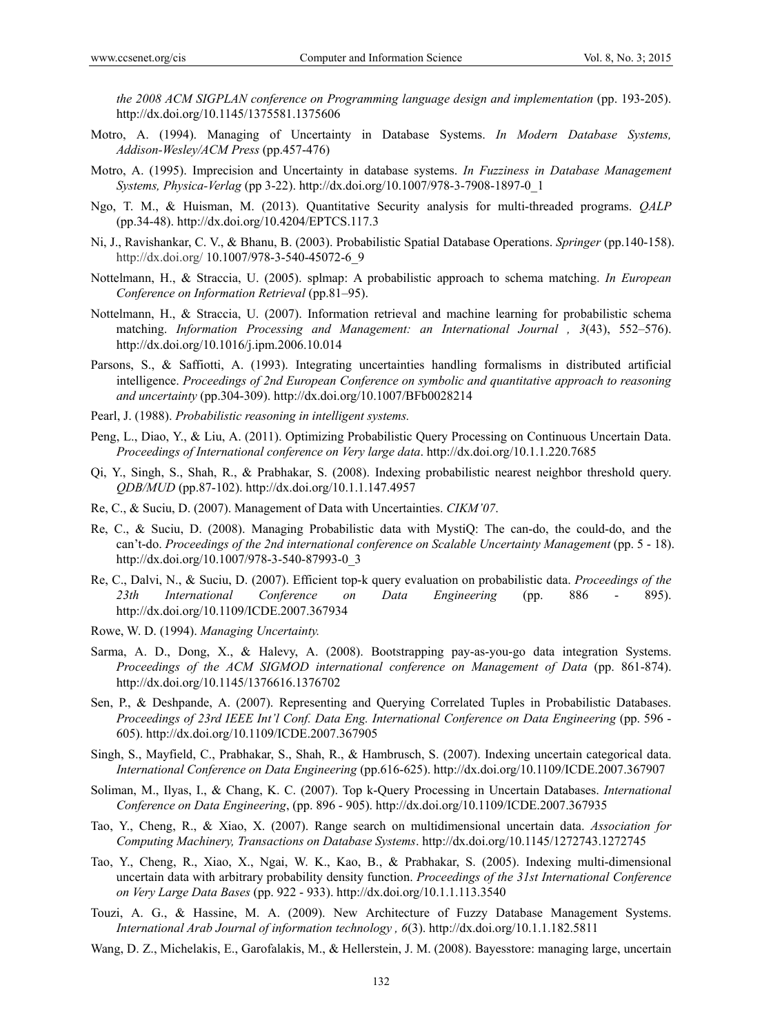*the 2008 ACM SIGPLAN conference on Programming language design and implementation* (pp. 193-205). http://dx.doi.org/10.1145/1375581.1375606

- Motro, A. (1994). Managing of Uncertainty in Database Systems. *In Modern Database Systems, Addison-Wesley/ACM Press* (pp.457-476)
- Motro, A. (1995). Imprecision and Uncertainty in database systems. *In Fuzziness in Database Management Systems, Physica-Verlag* (pp 3-22). http://dx.doi.org/10.1007/978-3-7908-1897-0\_1
- Ngo, T. M., & Huisman, M. (2013). Quantitative Security analysis for multi-threaded programs. *QALP* (pp.34-48). http://dx.doi.org/10.4204/EPTCS.117.3
- Ni, J., Ravishankar, C. V., & Bhanu, B. (2003). Probabilistic Spatial Database Operations. *Springer* (pp.140-158). http://dx.doi.org/ 10.1007/978-3-540-45072-6\_9
- Nottelmann, H., & Straccia, U. (2005). splmap: A probabilistic approach to schema matching. *In European Conference on Information Retrieval* (pp.81–95).
- Nottelmann, H., & Straccia, U. (2007). Information retrieval and machine learning for probabilistic schema matching. *Information Processing and Management: an International Journal , 3*(43), 552–576). http://dx.doi.org/10.1016/j.ipm.2006.10.014
- Parsons, S., & Saffiotti, A. (1993). Integrating uncertainties handling formalisms in distributed artificial intelligence. *Proceedings of 2nd European Conference on symbolic and quantitative approach to reasoning and uncertainty* (pp.304-309). http://dx.doi.org/10.1007/BFb0028214
- Pearl, J. (1988). *Probabilistic reasoning in intelligent systems.*
- Peng, L., Diao, Y., & Liu, A. (2011). Optimizing Probabilistic Query Processing on Continuous Uncertain Data. *Proceedings of International conference on Very large data*. http://dx.doi.org/10.1.1.220.7685
- Qi, Y., Singh, S., Shah, R., & Prabhakar, S. (2008). Indexing probabilistic nearest neighbor threshold query. *QDB/MUD* (pp.87-102). http://dx.doi.org/10.1.1.147.4957
- Re, C., & Suciu, D. (2007). Management of Data with Uncertainties. *CIKM'07*.
- Re, C., & Suciu, D. (2008). Managing Probabilistic data with MystiQ: The can-do, the could-do, and the can't-do. *Proceedings of the 2nd international conference on Scalable Uncertainty Management* (pp. 5 - 18). http://dx.doi.org/10.1007/978-3-540-87993-0\_3
- Re, C., Dalvi, N., & Suciu, D. (2007). Efficient top-k query evaluation on probabilistic data. *Proceedings of the 23th International Conference on Data Engineering* (pp. 886 - 895). http://dx.doi.org/10.1109/ICDE.2007.367934
- Rowe, W. D. (1994). *Managing Uncertainty.*
- Sarma, A. D., Dong, X., & Halevy, A. (2008). Bootstrapping pay-as-you-go data integration Systems. *Proceedings of the ACM SIGMOD international conference on Management of Data* (pp. 861-874). http://dx.doi.org/10.1145/1376616.1376702
- Sen, P., & Deshpande, A. (2007). Representing and Querying Correlated Tuples in Probabilistic Databases. *Proceedings of 23rd IEEE Int'l Conf. Data Eng. International Conference on Data Engineering (pp. 596 -*605). http://dx.doi.org/10.1109/ICDE.2007.367905
- Singh, S., Mayfield, C., Prabhakar, S., Shah, R., & Hambrusch, S. (2007). Indexing uncertain categorical data. *International Conference on Data Engineering* (pp.616-625). http://dx.doi.org/10.1109/ICDE.2007.367907
- Soliman, M., Ilyas, I., & Chang, K. C. (2007). Top k-Query Processing in Uncertain Databases. *International Conference on Data Engineering*, (pp. 896 - 905). http://dx.doi.org/10.1109/ICDE.2007.367935
- Tao, Y., Cheng, R., & Xiao, X. (2007). Range search on multidimensional uncertain data. *Association for Computing Machinery, Transactions on Database Systems*. http://dx.doi.org/10.1145/1272743.1272745
- Tao, Y., Cheng, R., Xiao, X., Ngai, W. K., Kao, B., & Prabhakar, S. (2005). Indexing multi-dimensional uncertain data with arbitrary probability density function. *Proceedings of the 31st International Conference on Very Large Data Bases* (pp. 922 - 933). http://dx.doi.org/10.1.1.113.3540
- Touzi, A. G., & Hassine, M. A. (2009). New Architecture of Fuzzy Database Management Systems. *International Arab Journal of information technology , 6*(3). http://dx.doi.org/10.1.1.182.5811
- Wang, D. Z., Michelakis, E., Garofalakis, M., & Hellerstein, J. M. (2008). Bayesstore: managing large, uncertain